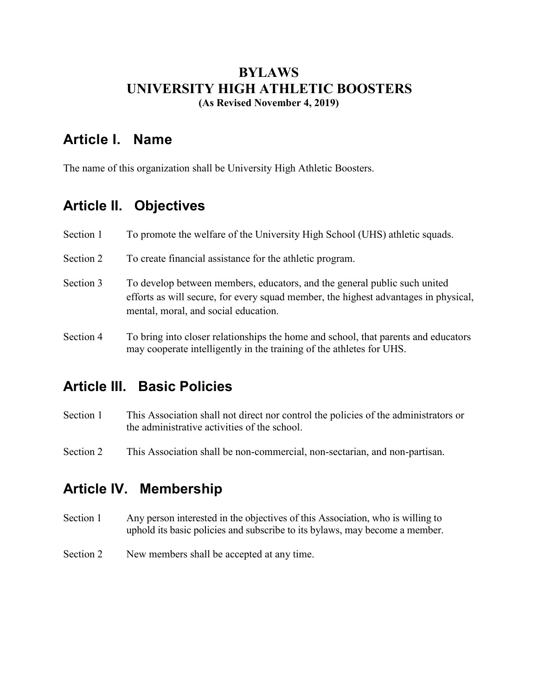#### **BYLAWS UNIVERSITY HIGH ATHLETIC BOOSTERS (As Revised November 4, 2019)**

#### **Article I. Name**

The name of this organization shall be University High Athletic Boosters.

## **Article II. Objectives**

| Section 1 | To promote the welfare of the University High School (UHS) athletic squads.                                                                                                                              |
|-----------|----------------------------------------------------------------------------------------------------------------------------------------------------------------------------------------------------------|
| Section 2 | To create financial assistance for the athletic program.                                                                                                                                                 |
| Section 3 | To develop between members, educators, and the general public such united<br>efforts as will secure, for every squad member, the highest advantages in physical,<br>mental, moral, and social education. |
| Section 4 | To bring into closer relationships the home and school, that parents and educators<br>may cooperate intelligently in the training of the athletes for UHS.                                               |

## **Article III. Basic Policies**

- Section 1 This Association shall not direct nor control the policies of the administrators or the administrative activities of the school.
- Section 2 This Association shall be non-commercial, non-sectarian, and non-partisan.

## **Article IV. Membership**

- Section 1 Any person interested in the objectives of this Association, who is willing to uphold its basic policies and subscribe to its bylaws, may become a member.
- Section 2 New members shall be accepted at any time.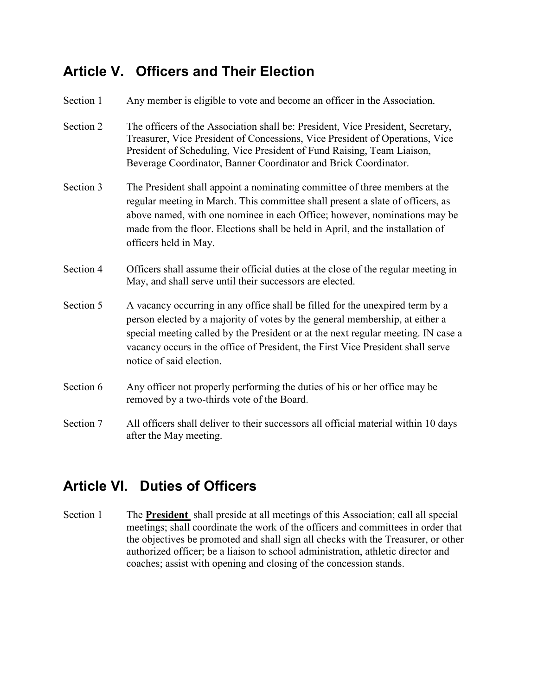## **Article V. Officers and Their Election**

| Section 1 | Any member is eligible to vote and become an officer in the Association.                                                                                                                                                                                                                                                                                          |
|-----------|-------------------------------------------------------------------------------------------------------------------------------------------------------------------------------------------------------------------------------------------------------------------------------------------------------------------------------------------------------------------|
| Section 2 | The officers of the Association shall be: President, Vice President, Secretary,<br>Treasurer, Vice President of Concessions, Vice President of Operations, Vice<br>President of Scheduling, Vice President of Fund Raising, Team Liaison,<br>Beverage Coordinator, Banner Coordinator and Brick Coordinator.                                                      |
| Section 3 | The President shall appoint a nominating committee of three members at the<br>regular meeting in March. This committee shall present a slate of officers, as<br>above named, with one nominee in each Office; however, nominations may be<br>made from the floor. Elections shall be held in April, and the installation of<br>officers held in May.              |
| Section 4 | Officers shall assume their official duties at the close of the regular meeting in<br>May, and shall serve until their successors are elected.                                                                                                                                                                                                                    |
| Section 5 | A vacancy occurring in any office shall be filled for the unexpired term by a<br>person elected by a majority of votes by the general membership, at either a<br>special meeting called by the President or at the next regular meeting. IN case a<br>vacancy occurs in the office of President, the First Vice President shall serve<br>notice of said election. |
| Section 6 | Any officer not properly performing the duties of his or her office may be<br>removed by a two-thirds vote of the Board.                                                                                                                                                                                                                                          |
| Section 7 | All officers shall deliver to their successors all official material within 10 days<br>after the May meeting.                                                                                                                                                                                                                                                     |

# **Article VI. Duties of Officers**

Section 1 The **President** shall preside at all meetings of this Association; call all special meetings; shall coordinate the work of the officers and committees in order that the objectives be promoted and shall sign all checks with the Treasurer, or other authorized officer; be a liaison to school administration, athletic director and coaches; assist with opening and closing of the concession stands.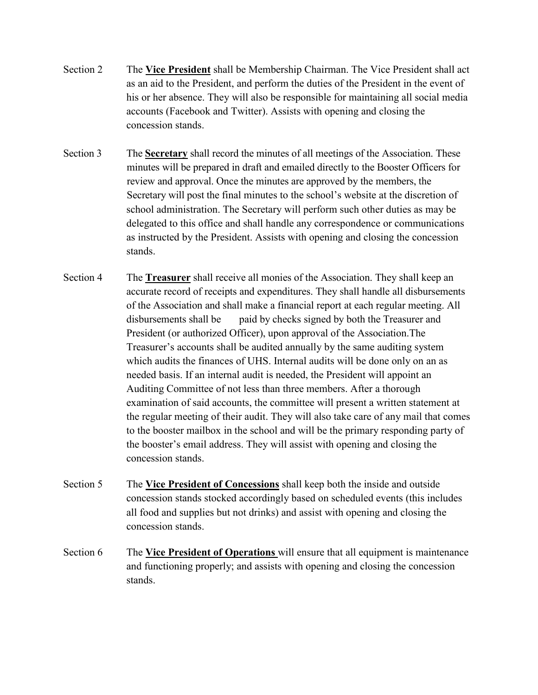- Section 2 The **Vice President** shall be Membership Chairman. The Vice President shall act as an aid to the President, and perform the duties of the President in the event of his or her absence. They will also be responsible for maintaining all social media accounts (Facebook and Twitter). Assists with opening and closing the concession stands.
- Section 3 The **Secretary** shall record the minutes of all meetings of the Association. These minutes will be prepared in draft and emailed directly to the Booster Officers for review and approval. Once the minutes are approved by the members, the Secretary will post the final minutes to the school's website at the discretion of school administration. The Secretary will perform such other duties as may be delegated to this office and shall handle any correspondence or communications as instructed by the President. Assists with opening and closing the concession stands.
- Section 4 The **Treasurer** shall receive all monies of the Association. They shall keep an accurate record of receipts and expenditures. They shall handle all disbursements of the Association and shall make a financial report at each regular meeting. All disbursements shall be paid by checks signed by both the Treasurer and President (or authorized Officer), upon approval of the Association.The Treasurer's accounts shall be audited annually by the same auditing system which audits the finances of UHS. Internal audits will be done only on an as needed basis. If an internal audit is needed, the President will appoint an Auditing Committee of not less than three members. After a thorough examination of said accounts, the committee will present a written statement at the regular meeting of their audit. They will also take care of any mail that comes to the booster mailbox in the school and will be the primary responding party of the booster's email address. They will assist with opening and closing the concession stands.
- Section 5 The **Vice President of Concessions** shall keep both the inside and outside concession stands stocked accordingly based on scheduled events (this includes all food and supplies but not drinks) and assist with opening and closing the concession stands.
- Section 6 The **Vice President of Operations** will ensure that all equipment is maintenance and functioning properly; and assists with opening and closing the concession stands.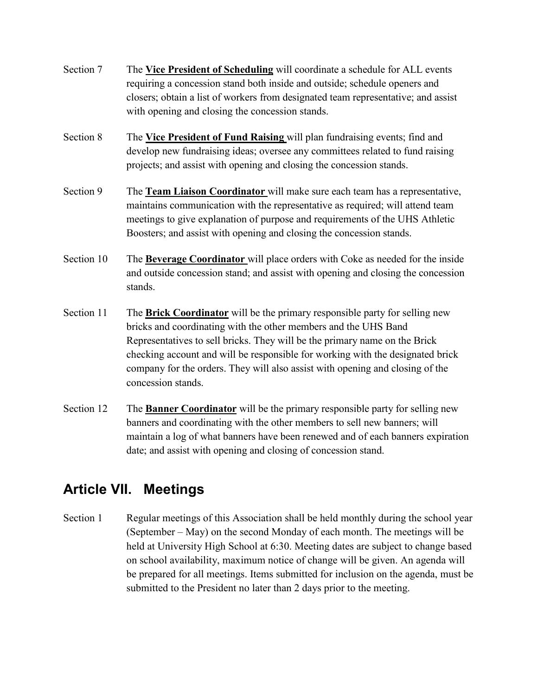- Section 7 The **Vice President of Scheduling** will coordinate a schedule for ALL events requiring a concession stand both inside and outside; schedule openers and closers; obtain a list of workers from designated team representative; and assist with opening and closing the concession stands.
- Section 8 The **Vice President of Fund Raising** will plan fundraising events; find and develop new fundraising ideas; oversee any committees related to fund raising projects; and assist with opening and closing the concession stands.
- Section 9 The **Team Liaison Coordinator** will make sure each team has a representative, maintains communication with the representative as required; will attend team meetings to give explanation of purpose and requirements of the UHS Athletic Boosters; and assist with opening and closing the concession stands.
- Section 10 The **Beverage Coordinator** will place orders with Coke as needed for the inside and outside concession stand; and assist with opening and closing the concession stands.
- Section 11 The **Brick Coordinator** will be the primary responsible party for selling new bricks and coordinating with the other members and the UHS Band Representatives to sell bricks. They will be the primary name on the Brick checking account and will be responsible for working with the designated brick company for the orders. They will also assist with opening and closing of the concession stands.
- Section 12 The **Banner Coordinator** will be the primary responsible party for selling new banners and coordinating with the other members to sell new banners; will maintain a log of what banners have been renewed and of each banners expiration date; and assist with opening and closing of concession stand.

## **Article VII. Meetings**

Section 1 Regular meetings of this Association shall be held monthly during the school year (September – May) on the second Monday of each month. The meetings will be held at University High School at 6:30. Meeting dates are subject to change based on school availability, maximum notice of change will be given. An agenda will be prepared for all meetings. Items submitted for inclusion on the agenda, must be submitted to the President no later than 2 days prior to the meeting.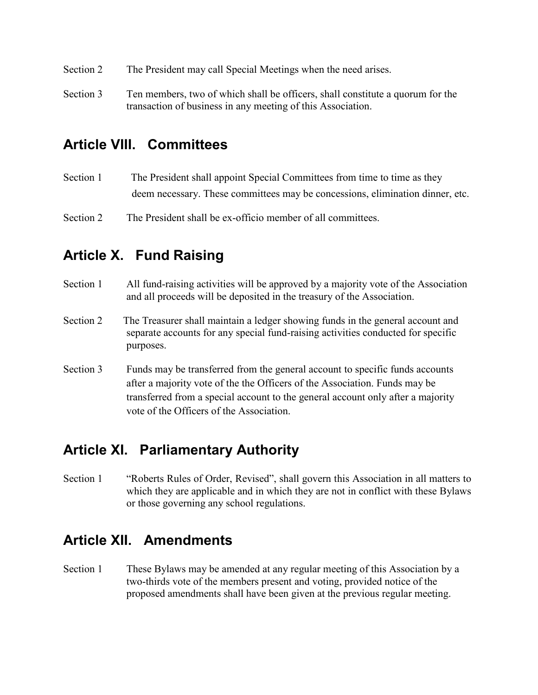- Section 2 The President may call Special Meetings when the need arises.
- Section 3 Ten members, two of which shall be officers, shall constitute a quorum for the transaction of business in any meeting of this Association.

#### **Article VIII. Committees**

Section 1 The President shall appoint Special Committees from time to time as they deem necessary. These committees may be concessions, elimination dinner, etc.

Section 2 The President shall be ex-officio member of all committees.

### **Article X. Fund Raising**

- Section 1 All fund-raising activities will be approved by a majority vote of the Association and all proceeds will be deposited in the treasury of the Association.
- Section 2 The Treasurer shall maintain a ledger showing funds in the general account and separate accounts for any special fund-raising activities conducted for specific purposes.
- Section 3 Funds may be transferred from the general account to specific funds accounts after a majority vote of the the Officers of the Association. Funds may be transferred from a special account to the general account only after a majority vote of the Officers of the Association.

#### **Article XI. Parliamentary Authority**

Section 1 "Roberts Rules of Order, Revised", shall govern this Association in all matters to which they are applicable and in which they are not in conflict with these Bylaws or those governing any school regulations.

#### **Article XII. Amendments**

Section 1 These Bylaws may be amended at any regular meeting of this Association by a two-thirds vote of the members present and voting, provided notice of the proposed amendments shall have been given at the previous regular meeting.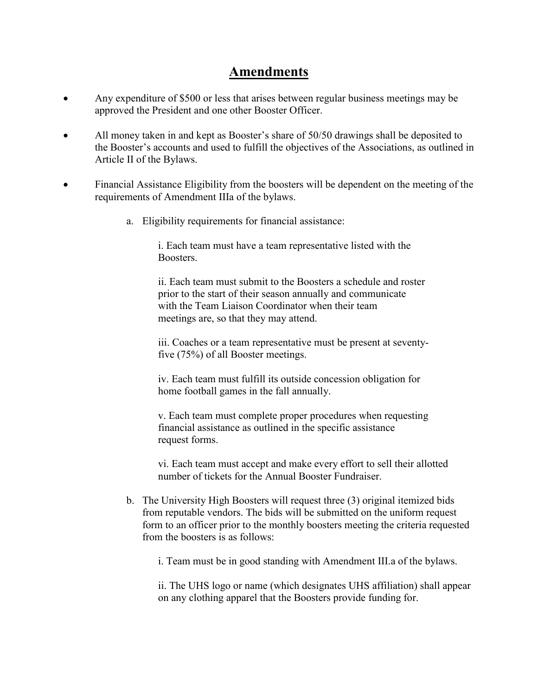#### **Amendments**

- Any expenditure of \$500 or less that arises between regular business meetings may be approved the President and one other Booster Officer.
- All money taken in and kept as Booster's share of 50/50 drawings shall be deposited to the Booster's accounts and used to fulfill the objectives of the Associations, as outlined in Article II of the Bylaws.
- Financial Assistance Eligibility from the boosters will be dependent on the meeting of the requirements of Amendment IIIa of the bylaws.
	- a. Eligibility requirements for financial assistance:

i. Each team must have a team representative listed with the Boosters.

 ii. Each team must submit to the Boosters a schedule and roster prior to the start of their season annually and communicate with the Team Liaison Coordinator when their team meetings are, so that they may attend.

 iii. Coaches or a team representative must be present at seventyfive (75%) of all Booster meetings.

iv. Each team must fulfill its outside concession obligation for home football games in the fall annually.

v. Each team must complete proper procedures when requesting financial assistance as outlined in the specific assistance request forms.

vi. Each team must accept and make every effort to sell their allotted number of tickets for the Annual Booster Fundraiser.

b. The University High Boosters will request three (3) original itemized bids from reputable vendors. The bids will be submitted on the uniform request form to an officer prior to the monthly boosters meeting the criteria requested from the boosters is as follows:

i. Team must be in good standing with Amendment III.a of the bylaws.

ii. The UHS logo or name (which designates UHS affiliation) shall appear on any clothing apparel that the Boosters provide funding for.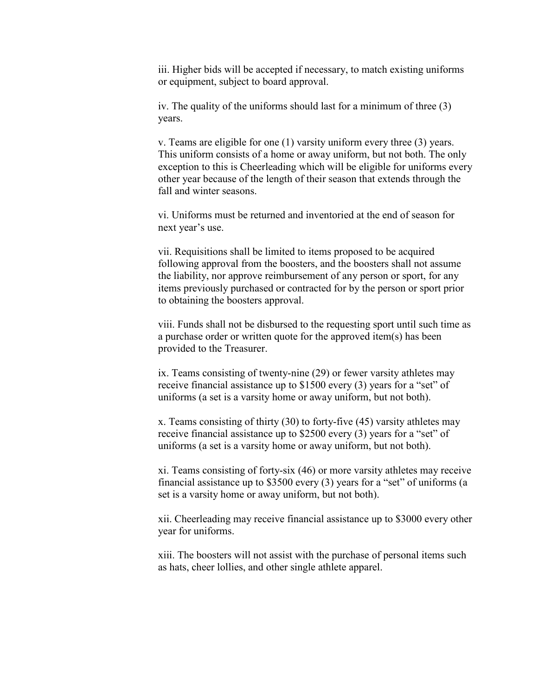iii. Higher bids will be accepted if necessary, to match existing uniforms or equipment, subject to board approval.

iv. The quality of the uniforms should last for a minimum of three (3) years.

v. Teams are eligible for one (1) varsity uniform every three (3) years. This uniform consists of a home or away uniform, but not both. The only exception to this is Cheerleading which will be eligible for uniforms every other year because of the length of their season that extends through the fall and winter seasons.

vi. Uniforms must be returned and inventoried at the end of season for next year's use.

vii. Requisitions shall be limited to items proposed to be acquired following approval from the boosters, and the boosters shall not assume the liability, nor approve reimbursement of any person or sport, for any items previously purchased or contracted for by the person or sport prior to obtaining the boosters approval.

viii. Funds shall not be disbursed to the requesting sport until such time as a purchase order or written quote for the approved item(s) has been provided to the Treasurer.

ix. Teams consisting of twenty-nine (29) or fewer varsity athletes may receive financial assistance up to \$1500 every (3) years for a "set" of uniforms (a set is a varsity home or away uniform, but not both).

x. Teams consisting of thirty (30) to forty-five (45) varsity athletes may receive financial assistance up to \$2500 every (3) years for a "set" of uniforms (a set is a varsity home or away uniform, but not both).

xi. Teams consisting of forty-six (46) or more varsity athletes may receive financial assistance up to \$3500 every (3) years for a "set" of uniforms (a set is a varsity home or away uniform, but not both).

xii. Cheerleading may receive financial assistance up to \$3000 every other year for uniforms.

xiii. The boosters will not assist with the purchase of personal items such as hats, cheer lollies, and other single athlete apparel.